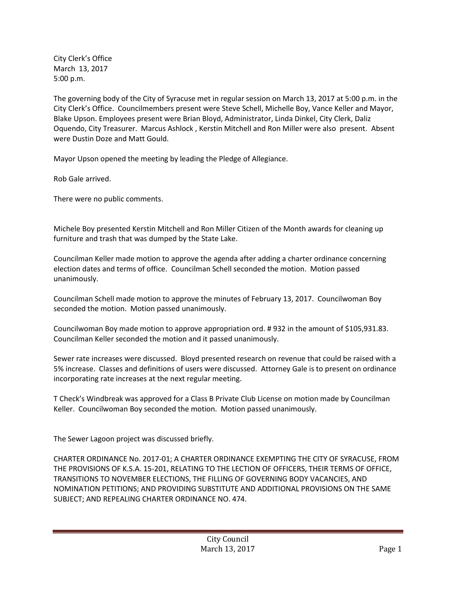City Clerk's Office March 13, 2017 5:00 p.m.

The governing body of the City of Syracuse met in regular session on March 13, 2017 at 5:00 p.m. in the City Clerk's Office. Councilmembers present were Steve Schell, Michelle Boy, Vance Keller and Mayor, Blake Upson. Employees present were Brian Bloyd, Administrator, Linda Dinkel, City Clerk, Daliz Oquendo, City Treasurer. Marcus Ashlock , Kerstin Mitchell and Ron Miller were also present. Absent were Dustin Doze and Matt Gould.

Mayor Upson opened the meeting by leading the Pledge of Allegiance.

Rob Gale arrived.

There were no public comments.

Michele Boy presented Kerstin Mitchell and Ron Miller Citizen of the Month awards for cleaning up furniture and trash that was dumped by the State Lake.

Councilman Keller made motion to approve the agenda after adding a charter ordinance concerning election dates and terms of office. Councilman Schell seconded the motion. Motion passed unanimously.

Councilman Schell made motion to approve the minutes of February 13, 2017. Councilwoman Boy seconded the motion. Motion passed unanimously.

Councilwoman Boy made motion to approve appropriation ord. # 932 in the amount of \$105,931.83. Councilman Keller seconded the motion and it passed unanimously.

Sewer rate increases were discussed. Bloyd presented research on revenue that could be raised with a 5% increase. Classes and definitions of users were discussed. Attorney Gale is to present on ordinance incorporating rate increases at the next regular meeting.

T Check's Windbreak was approved for a Class B Private Club License on motion made by Councilman Keller. Councilwoman Boy seconded the motion. Motion passed unanimously.

The Sewer Lagoon project was discussed briefly.

CHARTER ORDINANCE No. 2017-01; A CHARTER ORDINANCE EXEMPTING THE CITY OF SYRACUSE, FROM THE PROVISIONS OF K.S.A. 15-201, RELATING TO THE LECTION OF OFFICERS, THEIR TERMS OF OFFICE, TRANSITIONS TO NOVEMBER ELECTIONS, THE FILLING OF GOVERNING BODY VACANCIES, AND NOMINATION PETITIONS; AND PROVIDING SUBSTITUTE AND ADDITIONAL PROVISIONS ON THE SAME SUBJECT; AND REPEALING CHARTER ORDINANCE NO. 474.